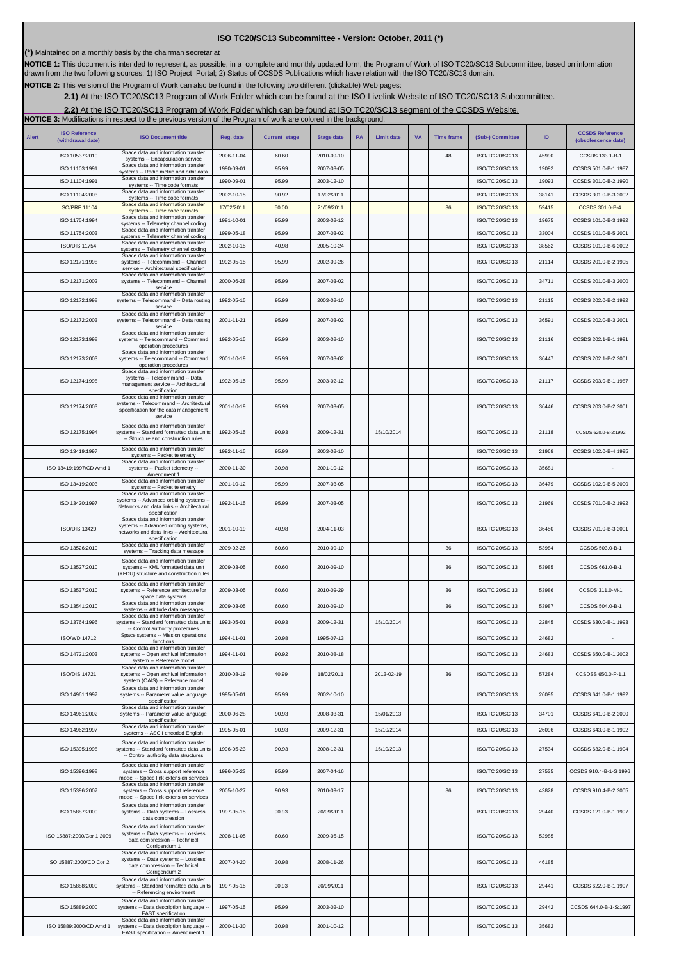| <b>Alert</b> | <b>ISO Reference</b><br>(withdrawal date) | <b>ISO Document title</b>                                                                                                                                   | Reg. date  | <b>Current stage</b> | <b>Stage date</b> | PA | <b>Limit date</b> | <b>VA</b> | <b>Time frame</b> | (Sub-) Committee       | ID    | <b>CCSDS Reference</b><br>(obsolescence date) |
|--------------|-------------------------------------------|-------------------------------------------------------------------------------------------------------------------------------------------------------------|------------|----------------------|-------------------|----|-------------------|-----------|-------------------|------------------------|-------|-----------------------------------------------|
|              | ISO 10537:2010                            | Space data and information transfer<br>systems -- Encapsulation service                                                                                     | 2006-11-04 | 60.60                | 2010-09-10        |    |                   |           | 48                | <b>ISO/TC 20/SC 13</b> | 45990 | CCSDS 133.1-B-1                               |
|              | ISO 11103:1991                            | Space data and information transfer<br>systems -- Radio metric and orbit data                                                                               | 1990-09-01 | 95.99                | 2007-03-05        |    |                   |           |                   | ISO/TC 20/SC 13        | 19092 | CCSDS 501.0-B-1:1987                          |
|              | ISO 11104:1991                            | Space data and information transfer<br>systems -- Time code formats                                                                                         | 1990-09-01 | 95.99                | 2003-12-10        |    |                   |           |                   | ISO/TC 20/SC 13        | 19093 | CCSDS 301.0-B-2:1990                          |
|              | ISO 11104:2003                            | Space data and information transfer<br>systems -- Time code formats                                                                                         | 2002-10-15 | 90.92                | 17/02/2011        |    |                   |           |                   | ISO/TC 20/SC 13        | 38141 | CCSDS 301.0-B-3:2002                          |
|              | <b>ISO/PRF 11104</b>                      | Space data and information transfer<br>systems -- Time code formats                                                                                         | 17/02/2011 | 50.00                | 21/09/2011        |    |                   |           | 36                | <b>ISO/TC 20/SC 13</b> | 59415 | CCSDS 301.0-B-4                               |
|              | ISO 11754:1994                            | Space data and information transfer<br>systems -- Telemetry channel coding                                                                                  | 1991-10-01 | 95.99                | 2003-02-12        |    |                   |           |                   | ISO/TC 20/SC 13        | 19675 | CCSDS 101.0-B-3:1992                          |
|              | ISO 11754:2003                            | Space data and information transfer<br>systems -- Telemetry channel coding<br>Space data and information transfer                                           | 1999-05-18 | 95.99                | 2007-03-02        |    |                   |           |                   | ISO/TC 20/SC 13        | 33004 | CCSDS 101.0-B-5:2001                          |
|              | <b>ISO/DIS 11754</b>                      | systems -- Telemetry channel coding<br>Space data and information transfer                                                                                  | 2002-10-15 | 40.98                | 2005-10-24        |    |                   |           |                   | ISO/TC 20/SC 13        | 38562 | CCSDS 101.0-B-6:2002                          |
|              | ISO 12171:1998                            | systems -- Telecommand -- Channel<br>service -- Architectural specification<br>Space data and information transfer                                          | 1992-05-15 | 95.99                | 2002-09-26        |    |                   |           |                   | ISO/TC 20/SC 13        | 21114 | CCSDS 201.0-B-2:1995                          |
|              | ISO 12171:2002                            | systems -- Telecommand -- Channel<br>service<br>Space data and information transfer                                                                         | 2000-06-28 | 95.99                | 2007-03-02        |    |                   |           |                   | ISO/TC 20/SC 13        | 34711 | CCSDS 201.0-B-3:2000                          |
|              | ISO 12172:1998                            | systems -- Telecommand -- Data routing<br>service<br>Space data and information transfer                                                                    | 1992-05-15 | 95.99                | 2003-02-10        |    |                   |           |                   | <b>ISO/TC 20/SC 13</b> | 21115 | CCSDS 202.0-B-2:1992                          |
|              | ISO 12172:2003                            | systems -- Telecommand -- Data routing<br>service                                                                                                           | 2001-11-21 | 95.99                | 2007-03-02        |    |                   |           |                   | ISO/TC 20/SC 13        | 36591 | CCSDS 202.0-B-3:2001                          |
|              | ISO 12173:1998                            | Space data and information transfer<br>systems -- Telecommand -- Command<br>operation procedures                                                            | 1992-05-15 | 95.99                | 2003-02-10        |    |                   |           |                   | ISO/TC 20/SC 13        | 21116 | CCSDS 202.1-B-1:1991                          |
|              | ISO 12173:2003                            | Space data and information transfer<br>systems -- Telecommand -- Command<br>operation procedures                                                            | 2001-10-19 | 95.99                | 2007-03-02        |    |                   |           |                   | <b>ISO/TC 20/SC 13</b> | 36447 | CCSDS 202.1-B-2:2001                          |
|              | ISO 12174:1998                            | Space data and information transfer<br>systems -- Telecommand -- Data<br>management service -- Architectural<br>specification                               | 1992-05-15 | 95.99                | 2003-02-12        |    |                   |           |                   | ISO/TC 20/SC 13        | 21117 | CCSDS 203.0-B-1:1987                          |
|              | ISO 12174:2003                            | Space data and information transfer<br>systems -- Telecommand -- Architectural<br>specification for the data management<br>service                          | 2001-10-19 | 95.99                | 2007-03-05        |    |                   |           |                   | ISO/TC 20/SC 13        | 36446 | CCSDS 203.0-B-2:2001                          |
|              | ISO 12175:1994                            | Space data and information transfer<br>systems -- Standard formatted data units<br>-- Structure and construction rules                                      | 1992-05-15 | 90.93                | 2009-12-31        |    | 15/10/2014        |           |                   | ISO/TC 20/SC 13        | 21118 | CCSDS 620.0-B-2:1992                          |
|              | ISO 13419:1997                            | Space data and information transfer<br>systems -- Packet telemetry                                                                                          | 1992-11-15 | 95.99                | 2003-02-10        |    |                   |           |                   | <b>ISO/TC 20/SC 13</b> | 21968 | CCSDS 102.0-B-4:1995                          |
|              | ISO 13419:1997/CD Amd 1                   | Space data and information transfer<br>systems -- Packet telemetry --                                                                                       | 2000-11-30 | 30.98                | 2001-10-12        |    |                   |           |                   | <b>ISO/TC 20/SC 13</b> | 35681 |                                               |
|              | ISO 13419:2003                            | Amendment 1<br>Space data and information transfer<br>systems -- Packet telemetry                                                                           | 2001-10-12 | 95.99                | 2007-03-05        |    |                   |           |                   | <b>ISO/TC 20/SC 13</b> | 36479 | CCSDS 102.0-B-5:2000                          |
|              | ISO 13420:1997                            | Space data and information transfer<br>systems -- Advanced orbiting systems --<br>Networks and data links -- Architectural<br>specification                 | 1992-11-15 | 95.99                | 2007-03-05        |    |                   |           |                   | <b>ISO/TC 20/SC 13</b> | 21969 | CCSDS 701.0-B-2:1992                          |
|              | <b>ISO/DIS 13420</b>                      | Space data and information transfer<br>systems -- Advanced orbiting systems,<br>networks and data links -- Architectural<br>specification                   | 2001-10-19 | 40.98                | 2004-11-03        |    |                   |           |                   | <b>ISO/TC 20/SC 13</b> | 36450 | CCSDS 701.0-B-3:2001                          |
|              | ISO 13526:2010                            | Space data and information transfer<br>systems -- Tracking data message                                                                                     | 2009-02-26 | 60.60                | 2010-09-10        |    |                   |           | 36                | <b>ISO/TC 20/SC 13</b> | 53984 | CCSDS 503.0-B-1                               |
|              | ISO 13527:2010                            | Space data and information transfer<br>systems -- XML formatted data unit<br>(XFDU) structure and construction rules                                        | 2009-03-05 | 60.60                | 2010-09-10        |    |                   |           | 36                | <b>ISO/TC 20/SC 13</b> | 53985 | CCSDS 661.0-B-1                               |
|              | ISO 13537:2010                            | Space data and information transfer<br>systems -- Reference architecture for<br>space data systems                                                          | 2009-03-05 | 60.60                | 2010-09-29        |    |                   |           | 36                | ISO/TC 20/SC 13        | 53986 | CCSDS 311.0-M-1                               |
|              | ISO 13541:2010                            | Space data and information transfer<br>systems -- Attitude data messages                                                                                    | 2009-03-05 | 60.60                | 2010-09-10        |    |                   |           | 36                | <b>ISO/TC 20/SC 13</b> | 53987 | CCSDS 504.0-B-1                               |
|              | ISO 13764:1996                            | Space data and information transfer<br>systems -- Standard formatted data units                                                                             | 1993-05-01 | 90.93                | 2009-12-31        |    | 15/10/2014        |           |                   | <b>ISO/TC 20/SC 13</b> | 22845 | CCSDS 630.0-B-1:1993                          |
|              | <b>ISO/WD 14712</b>                       | -- Control authority procedures<br>Space systems -- Mission operations                                                                                      | 1994-11-01 | 20.98                | 1995-07-13        |    |                   |           |                   | <b>ISO/TC 20/SC 13</b> | 24682 |                                               |
|              | ISO 14721:2003                            | functions<br>Space data and information transfer<br>systems -- Open archival information                                                                    | 1994-11-01 | 90.92                | 2010-08-18        |    |                   |           |                   | ISO/TC 20/SC 13        | 24683 | CCSDS 650.0-B-1:2002                          |
|              | <b>ISO/DIS 14721</b>                      | system -- Reference model<br>Space data and information transfer<br>systems -- Open archival information                                                    | 2010-08-19 | 40.99                | 18/02/2011        |    | 2013-02-19        |           | 36                | <b>ISO/TC 20/SC 13</b> | 57284 | CCSDSS 650.0-P-1.1                            |
|              | ISO 14961:1997                            | system (OAIS) -- Reference model<br>Space data and information transfer<br>systems -- Parameter value language                                              | 1995-05-01 | 95.99                | 2002-10-10        |    |                   |           |                   | <b>ISO/TC 20/SC 13</b> | 26095 | CCSDS 641.0-B-1:1992                          |
|              | ISO 14961:2002                            | specification<br>Space data and information transfer<br>systems -- Parameter value language                                                                 | 2000-06-28 | 90.93                | 2008-03-31        |    | 15/01/2013        |           |                   | <b>ISO/TC 20/SC 13</b> | 34701 | CCSDS 641.0-B-2:2000                          |
|              | ISO 14962:1997                            | specification<br>Space data and information transfer                                                                                                        | 1995-05-01 | 90.93                | 2009-12-31        |    | 15/10/2014        |           |                   | <b>ISO/TC 20/SC 13</b> | 26096 | CCSDS 643.0-B-1:1992                          |
|              | ISO 15395:1998                            | systems -- ASCII encoded English<br>Space data and information transfer<br>systems -- Standard formatted data units<br>-- Control authority data structures | 1996-05-23 | 90.93                | 2008-12-31        |    | 15/10/2013        |           |                   | <b>ISO/TC 20/SC 13</b> | 27534 | CCSDS 632.0-B-1:1994                          |
|              | ISO 15396:1998                            | Space data and information transfer<br>systems -- Cross support reference                                                                                   | 1996-05-23 | 95.99                | 2007-04-16        |    |                   |           |                   | <b>ISO/TC 20/SC 13</b> | 27535 | CCSDS 910.4-B-1-S:1996                        |
|              | ISO 15396:2007                            | model -- Space link extension services<br>Space data and information transfer<br>systems -- Cross support reference                                         | 2005-10-27 | 90.93                | 2010-09-17        |    |                   |           | 36                | <b>ISO/TC 20/SC 13</b> | 43828 | CCSDS 910.4-B-2:2005                          |
|              | ISO 15887:2000                            | model -- Space link extension services<br>Space data and information transfer<br>systems -- Data systems -- Lossless<br>data compression                    | 1997-05-15 | 90.93                | 20/09/2011        |    |                   |           |                   | <b>ISO/TC 20/SC 13</b> | 29440 | CCSDS 121.0-B-1:1997                          |
|              | ISO 15887:2000/Cor 1:2009                 | Space data and information transfer<br>systems -- Data systems -- Lossless<br>data compression -- Technical<br>Corrigendum 1                                | 2008-11-05 | 60.60                | 2009-05-15        |    |                   |           |                   | ISO/TC 20/SC 13        | 52985 |                                               |
|              | ISO 15887:2000/CD Cor 2                   | Space data and information transfer<br>systems -- Data systems -- Lossless<br>data compression -- Technical<br>Corrigendum 2                                | 2007-04-20 | 30.98                | 2008-11-26        |    |                   |           |                   | ISO/TC 20/SC 13        | 46185 |                                               |
|              | ISO 15888:2000                            | Space data and information transfer<br>systems -- Standard formatted data units<br>-- Referencing environment                                               | 1997-05-15 | 90.93                | 20/09/2011        |    |                   |           |                   | ISO/TC 20/SC 13        | 29441 | CCSDS 622.0-B-1:1997                          |
|              | ISO 15889:2000                            | Space data and information transfer<br>systems -- Data description language --<br><b>EAST</b> specification                                                 | 1997-05-15 | 95.99                | 2003-02-10        |    |                   |           |                   | ISO/TC 20/SC 13        | 29442 | CCSDS 644.0-B-1-S:1997                        |
|              | ISO 15889:2000/CD Amd 1                   | Space data and information transfer<br>systems -- Data description language --<br>EAST specification -- Amendment 1                                         | 2000-11-30 | 30.98                | 2001-10-12        |    |                   |           |                   | <b>ISO/TC 20/SC 13</b> | 35682 |                                               |

**NOTICE 1:** This document is intended to represent, as possible, in a complete and monthly updated form, the Program of Work of ISO TC20/SC13 Subcommittee, based on information drawn from the two following sources: 1) ISO Project Portal; 2) Status of CCSDS Publications which have relation with the ISO TC20/SC13 domain.

**[2.1\)](http://isotc.iso.org/livelink/livelink?func=ll&objId=10035623&objAction=browse&viewType=1)** At the ISO TC20/SC13 Program of Work Folder which can be found at the ISO Livelink Website of ISO TC20/SC13 Subcommittee.

**[2.2\)](http://isotc.iso.org/livelink/livelink?func=ll&objId=10035623&objAction=browse&viewType=1)** At the ISO TC20/SC13 Program of Work Folder which can be found at ISO TC20/SC13 segment of the CCSDS Website.

## **ISO TC20/SC13 Subcommittee - Version: October, 2011 (\*)**

**NOTICE 2:** This version of the Program of Work can also be found in the following two different (clickable) Web pages:

**NOTICE 3:** Modifications in respect to the previous version of the Program of work are colored in the background.

**(\*)** Maintained on a monthly basis by the chairman secretariat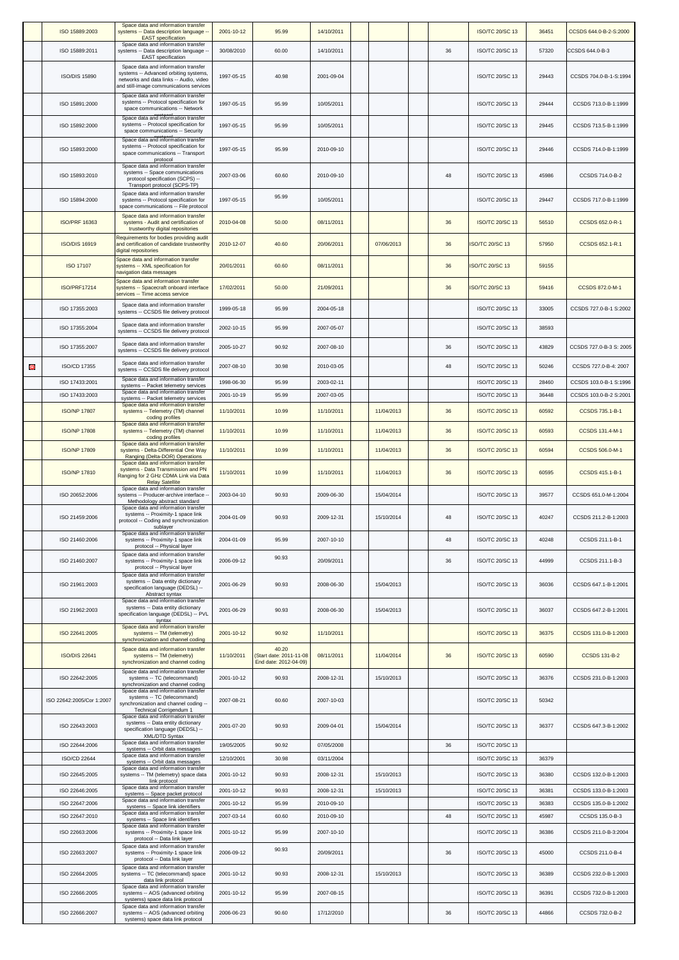|   | ISO 15889:2003                   | Space data and information transfer<br>systems -- Data description language --<br><b>EAST</b> specification                                                        | 2001-10-12               | 95.99                                                     | 14/10/2011               |            |    | <b>ISO/TC 20/SC 13</b>                    | 36451          | CCSDS 644.0-B-2-S:2000                  |
|---|----------------------------------|--------------------------------------------------------------------------------------------------------------------------------------------------------------------|--------------------------|-----------------------------------------------------------|--------------------------|------------|----|-------------------------------------------|----------------|-----------------------------------------|
|   | ISO 15889:2011                   | Space data and information transfer<br>systems -- Data description language --<br><b>EAST</b> specification                                                        | 30/08/2010               | 60.00                                                     | 14/10/2011               |            | 36 | ISO/TC 20/SC 13                           | 57320          | CCSDS 644.0-B-3                         |
|   | <b>ISO/DIS 15890</b>             | Space data and information transfer<br>systems -- Advanced orbiting systems,<br>networks and data links -- Audio, video<br>and still-image communications services | 1997-05-15               | 40.98                                                     | 2001-09-04               |            |    | <b>ISO/TC 20/SC 13</b>                    | 29443          | CCSDS 704.0-B-1-S:1994                  |
|   | ISO 15891:2000                   | Space data and information transfer<br>systems -- Protocol specification for<br>space communications -- Network                                                    | 1997-05-15               | 95.99                                                     | 10/05/2011               |            |    | ISO/TC 20/SC 13                           | 29444          | CCSDS 713.0-B-1:1999                    |
|   | ISO 15892:2000                   | Space data and information transfer<br>systems -- Protocol specification for<br>space communications -- Security                                                   | 1997-05-15               | 95.99                                                     | 10/05/2011               |            |    | <b>ISO/TC 20/SC 13</b>                    | 29445          | CCSDS 713.5-B-1:1999                    |
|   | ISO 15893:2000                   | Space data and information transfer<br>systems -- Protocol specification for<br>space communications -- Transport                                                  | 1997-05-15               | 95.99                                                     | 2010-09-10               |            |    | <b>ISO/TC 20/SC 13</b>                    | 29446          | CCSDS 714.0-B-1:1999                    |
|   | ISO 15893:2010                   | protocol<br>Space data and information transfer<br>systems -- Space communications<br>protocol specification (SCPS) --                                             | 2007-03-06               | 60.60                                                     | 2010-09-10               |            | 48 | <b>ISO/TC 20/SC 13</b>                    | 45986          | CCSDS 714.0-B-2                         |
|   | ISO 15894:2000                   | Transport protocol (SCPS-TP)<br>Space data and information transfer<br>systems -- Protocol specification for                                                       | 1997-05-15               | 95.99                                                     | 10/05/2011               |            |    | ISO/TC 20/SC 13                           | 29447          | CCSDS 717.0-B-1:1999                    |
|   | <b>ISO/PRF 16363</b>             | space communications -- File protocol<br>Space data and information transfer<br>systems - Audit and certification of<br>trustworthy digital repositories           | 2010-04-08               | 50.00                                                     | 08/11/2011               |            | 36 | <b>ISO/TC 20/SC 13</b>                    | 56510          | CCSDS 652.0-R-1                         |
|   | <b>ISO/DIS 16919</b>             | Requirements for bodies providing audit<br>and certification of candidate trustworthy<br>digital repositories                                                      | 2010-12-07               | 40.60                                                     | 20/06/2011               | 07/06/2013 | 36 | <b>ISO/TC 20/SC 13</b>                    | 57950          | CCSDS 652.1-R.1                         |
|   | <b>ISO 17107</b>                 | Space data and information transfer<br>systems -- XML specification for<br>navigation data messages                                                                | 20/01/2011               | 60.60                                                     | 08/11/2011               |            | 36 | <b>ISO/TC 20/SC 13</b>                    | 59155          |                                         |
|   | <b>ISO/PRF17214</b>              | Space data and information transfer<br>systems -- Spacecraft onboard interface<br>services -- Time access service                                                  | 17/02/2011               | 50.00                                                     | 21/09/2011               |            | 36 | <b>ISO/TC 20/SC 13</b>                    | 59416          | <b>CCSDS 872.0-M-1</b>                  |
|   | ISO 17355:2003                   | Space data and information transfer<br>systems -- CCSDS file delivery protocol                                                                                     | 1999-05-18               | 95.99                                                     | 2004-05-18               |            |    | ISO/TC 20/SC 13                           | 33005          | CCSDS 727.0-B-1 S:2002                  |
|   | ISO 17355:2004                   | Space data and information transfer<br>systems -- CCSDS file delivery protocol                                                                                     | 2002-10-15               | 95.99                                                     | 2007-05-07               |            |    | ISO/TC 20/SC 13                           | 38593          |                                         |
|   | ISO 17355:2007                   | Space data and information transfer<br>systems -- CCSDS file delivery protocol                                                                                     | 2005-10-27               | 90.92                                                     | 2007-08-10               |            | 36 | ISO/TC 20/SC 13                           | 43829          | CCSDS 727.0-B-3 S: 2005                 |
| Θ | ISO/CD 17355                     | Space data and information transfer<br>systems -- CCSDS file delivery protocol                                                                                     | 2007-08-10               | 30.98                                                     | 2010-03-05               |            | 48 | ISO/TC 20/SC 13                           | 50246          | CCSDS 727.0-B-4: 2007                   |
|   | ISO 17433:2001                   | Space data and information transfer<br>systems -- Packet telemetry services                                                                                        | 1998-06-30               | 95.99                                                     | 2003-02-11               |            |    | <b>ISO/TC 20/SC 13</b>                    | 28460          | CCSDS 103.0-B-1 S:1996                  |
|   | ISO 17433:2003                   | Space data and information transfer<br>systems -- Packet telemetry services<br>Space data and information transfer                                                 | 2001-10-19               | 95.99                                                     | 2007-03-05               |            |    | <b>ISO/TC 20/SC 13</b>                    | 36448          | CCSDS 103.0-B-2 S:2001                  |
|   | <b>ISO/NP 17807</b>              | systems -- Telemetry (TM) channel<br>coding profiles                                                                                                               | 11/10/2011               | 10.99                                                     | 11/10/2011               | 11/04/2013 | 36 | <b>ISO/TC 20/SC 13</b>                    | 60592          | <b>CCSDS 735.1-B-1</b>                  |
|   | <b>ISO/NP 17808</b>              | Space data and information transfer<br>systems -- Telemetry (TM) channel<br>coding profiles                                                                        | 11/10/2011               | 10.99                                                     | 11/10/2011               | 11/04/2013 | 36 | <b>ISO/TC 20/SC 13</b>                    | 60593          | <b>CCSDS 131.4-M-1</b>                  |
|   | <b>ISO/NP 17809</b>              | Space data and information transfer<br>systems - Delta-Differential One Way<br>Ranging (Delta-DOR) Operations                                                      | 11/10/2011               | 10.99                                                     | 11/10/2011               | 11/04/2013 | 36 | <b>ISO/TC 20/SC 13</b>                    | 60594          | <b>CCSDS 506.0-M-1</b>                  |
|   | <b>ISO/NP 17810</b>              | Space data and information transfer<br>systems - Data Transmission and PN<br>Ranging for 2 GHz CDMA Link via Data<br><b>Relay Satellite</b>                        | 11/10/2011               | 10.99                                                     | 11/10/2011               | 11/04/2013 | 36 | <b>ISO/TC 20/SC 13</b>                    | 60595          | <b>CCSDS 415.1-B-1</b>                  |
|   | ISO 20652:2006                   | Space data and information transfer<br>systems -- Producer-archive interface --<br>Methodology abstract standard<br>Space data and information transfer            | 2003-04-10               | 90.93                                                     | 2009-06-30               | 15/04/2014 |    | ISO/TC 20/SC 13                           | 39577          | CCSDS 651.0-M-1:2004                    |
|   | ISO 21459:2006                   | systems -- Proximity-1 space link<br>protocol -- Coding and synchronization<br>sublayer                                                                            | 2004-01-09               | 90.93                                                     | 2009-12-31               | 15/10/2014 | 48 | ISO/TC 20/SC 13                           | 40247          | CCSDS 211.2-B-1:2003                    |
|   | ISO 21460:2006                   | Space data and information transfer<br>systems -- Proximity-1 space link<br>protocol -- Physical layer                                                             | 2004-01-09               | 95.99                                                     | 2007-10-10               |            | 48 | ISO/TC 20/SC 13                           | 40248          | CCSDS 211.1-B-1                         |
|   | ISO 21460:2007                   | Space data and information transfer<br>systems -- Proximity-1 space link<br>protocol -- Physical layer                                                             | 2006-09-12               | 90.93                                                     | 20/09/2011               |            | 36 | ISO/TC 20/SC 13                           | 44999          | CCSDS 211.1-B-3                         |
|   | ISO 21961:2003                   | Space data and information transfer<br>systems -- Data entity dictionary<br>specification language (DEDSL) --<br>Abstract syntax                                   | 2001-06-29               | 90.93                                                     | 2008-06-30               | 15/04/2013 |    | <b>ISO/TC 20/SC 13</b>                    | 36036          | CCSDS 647.1-B-1:2001                    |
|   | ISO 21962:2003                   | Space data and information transfer<br>systems -- Data entity dictionary<br>specification language (DEDSL) -- PVL                                                  | 2001-06-29               | 90.93                                                     | 2008-06-30               | 15/04/2013 |    | <b>ISO/TC 20/SC 13</b>                    | 36037          | CCSDS 647.2-B-1:2001                    |
|   | ISO 22641:2005                   | syntax<br>Space data and information transfer<br>systems -- TM (telemetry)<br>synchronization and channel coding                                                   | 2001-10-12               | 90.92                                                     | 11/10/2011               |            |    | <b>ISO/TC 20/SC 13</b>                    | 36375          | CCSDS 131.0-B-1:2003                    |
|   | <b>ISO/DIS 22641</b>             | Space data and information transfer<br>systems -- TM (telemetry)<br>synchronization and channel coding                                                             | 11/10/2011               | 40.20<br>(Start date: 2011-11-08<br>End date: 2012-04-09) | 08/11/2011               | 11/04/2014 | 36 | <b>ISO/TC 20/SC 13</b>                    | 60590          | <b>CCSDS 131-B-2</b>                    |
|   | ISO 22642:2005                   | Space data and information transfer<br>systems -- TC (telecommand)<br>synchronization and channel coding                                                           | 2001-10-12               | 90.93                                                     | 2008-12-31               | 15/10/2013 |    | ISO/TC 20/SC 13                           | 36376          | CCSDS 231.0-B-1:2003                    |
|   | ISO 22642:2005/Cor 1:2007        | Space data and information transfer<br>systems -- TC (telecommand)<br>synchronization and channel coding --<br><b>Technical Corrigendum 1</b>                      | 2007-08-21               | 60.60                                                     | 2007-10-03               |            |    | ISO/TC 20/SC 13                           | 50342          |                                         |
|   | ISO 22643:2003                   | Space data and information transfer<br>systems -- Data entity dictionary<br>specification language (DEDSL) --<br><b>XML/DTD Syntax</b>                             | 2001-07-20               | 90.93                                                     | 2009-04-01               | 15/04/2014 |    | <b>ISO/TC 20/SC 13</b>                    | 36377          | CCSDS 647.3-B-1:2002                    |
|   | ISO 22644:2006                   | Space data and information transfer<br>systems -- Orbit data messages<br>Space data and information transfer                                                       | 19/05/2005               | 90.92                                                     | 07/05/2008               |            | 36 | <b>ISO/TC 20/SC 13</b>                    |                |                                         |
|   | <b>ISO/CD 22644</b>              | systems -- Orbit data messages<br>Space data and information transfer                                                                                              | 12/10/2001               | 30.98                                                     | 03/11/2004               |            |    | <b>ISO/TC 20/SC 13</b>                    | 36379          |                                         |
|   | ISO 22645:2005                   | systems -- TM (telemetry) space data<br>link protocol                                                                                                              | 2001-10-12               | 90.93                                                     | 2008-12-31               | 15/10/2013 |    | ISO/TC 20/SC 13                           | 36380          | CCSDS 132.0-B-1:2003                    |
|   | ISO 22646:2005<br>ISO 22647:2006 | Space data and information transfer<br>systems -- Space packet protocol<br>Space data and information transfer                                                     | 2001-10-12<br>2001-10-12 | 90.93                                                     | 2008-12-31<br>2010-09-10 | 15/10/2013 |    | <b>ISO/TC 20/SC 13</b>                    | 36381          | CCSDS 133.0-B-1:2003                    |
|   | ISO 22647:2010                   | systems -- Space link identifiers<br>Space data and information transfer                                                                                           | 2007-03-14               | 95.99<br>60.60                                            | 2010-09-10               |            | 48 | <b>ISO/TC 20/SC 13</b><br>ISO/TC 20/SC 13 | 36383<br>45987 | CCSDS 135.0-B-1:2002<br>CCSDS 135.0-B-3 |
|   | ISO 22663:2006                   | systems -- Space link identifiers<br>Space data and information transfer<br>systems -- Proximity-1 space link                                                      | 2001-10-12               | 95.99                                                     | 2007-10-10               |            |    | ISO/TC 20/SC 13                           | 36386          | CCSDS 211.0-B-3:2004                    |
|   | ISO 22663:2007                   | protocol -- Data link layer<br>Space data and information transfer<br>systems -- Proximity-1 space link                                                            | 2006-09-12               | 90.93                                                     | 20/09/2011               |            | 36 | <b>ISO/TC 20/SC 13</b>                    | 45000          | CCSDS 211.0-B-4                         |
|   | ISO 22664:2005                   | protocol -- Data link layer<br>Space data and information transfer<br>systems -- TC (telecommand) space                                                            | 2001-10-12               | 90.93                                                     | 2008-12-31               | 15/10/2013 |    | ISO/TC 20/SC 13                           | 36389          | CCSDS 232.0-B-1:2003                    |
|   |                                  | data link protocol<br>Space data and information transfer                                                                                                          |                          |                                                           |                          |            |    |                                           |                |                                         |
|   | ISO 22666:2005                   | systems -- AOS (advanced orbiting<br>systems) space data link protocol<br>Space data and information transfer                                                      | 2001-10-12               | 95.99                                                     | 2007-08-15               |            |    | ISO/TC 20/SC 13                           | 36391          | CCSDS 732.0-B-1:2003                    |
|   | ISO 22666:2007                   | systems -- AOS (advanced orbiting<br>systems) space data link protocol                                                                                             | 2006-06-23               | 90.60                                                     | 17/12/2010               |            | 36 | ISO/TC 20/SC 13                           | 44866          | CCSDS 732.0-B-2                         |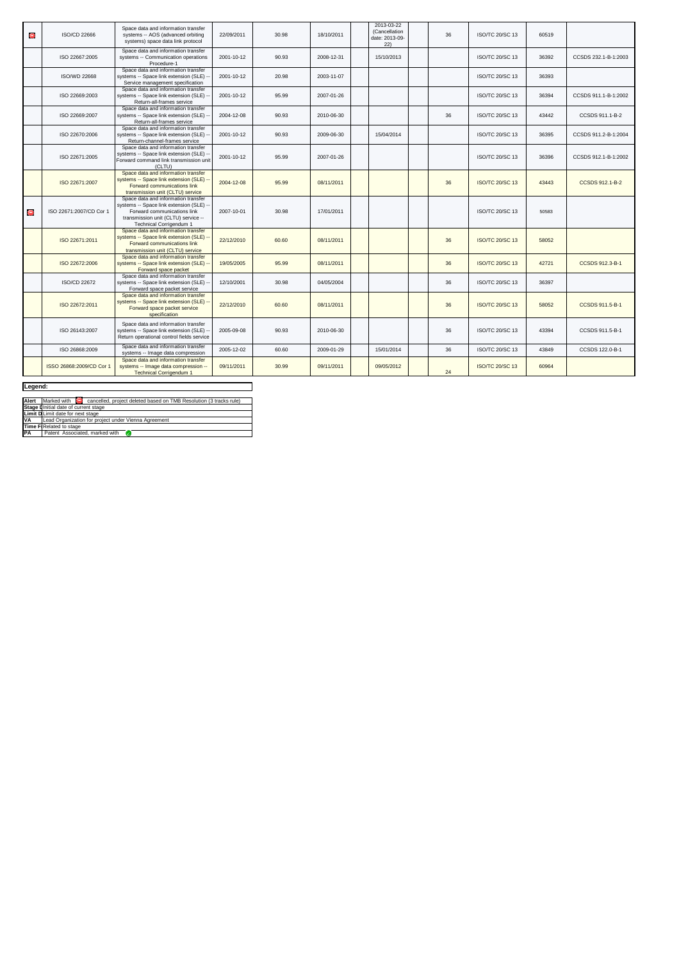| Θ                 | ISO/CD 22666             | Space data and information transfer<br>systems -- AOS (advanced orbiting<br>systems) space data link protocol                                                                           | 22/09/2011 | 30.98 | 18/10/2011 | 2013-03-22<br>(Cancellation<br>date: 2013-09-<br>22) | 36 | <b>ISO/TC 20/SC 13</b> | 60519 |                        |
|-------------------|--------------------------|-----------------------------------------------------------------------------------------------------------------------------------------------------------------------------------------|------------|-------|------------|------------------------------------------------------|----|------------------------|-------|------------------------|
|                   | ISO 22667:2005           | Space data and information transfer<br>systems -- Communication operations<br>Procedure-1                                                                                               | 2001-10-12 | 90.93 | 2008-12-31 | 15/10/2013                                           |    | ISO/TC 20/SC 13        | 36392 | CCSDS 232.1-B-1:2003   |
|                   | <b>ISO/WD 22668</b>      | Space data and information transfer<br>systems -- Space link extension (SLE) --<br>Service management specification                                                                     | 2001-10-12 | 20.98 | 2003-11-07 |                                                      |    | <b>ISO/TC 20/SC 13</b> | 36393 |                        |
|                   | ISO 22669:2003           | Space data and information transfer<br>systems -- Space link extension (SLE) --<br>Return-all-frames service                                                                            | 2001-10-12 | 95.99 | 2007-01-26 |                                                      |    | ISO/TC 20/SC 13        | 36394 | CCSDS 911.1-B-1:2002   |
|                   | ISO 22669:2007           | Space data and information transfer<br>systems -- Space link extension (SLE) --<br>Return-all-frames service                                                                            | 2004-12-08 | 90.93 | 2010-06-30 |                                                      | 36 | <b>ISO/TC 20/SC 13</b> | 43442 | CCSDS 911.1-B-2        |
|                   | ISO 22670:2006           | Space data and information transfer<br>systems -- Space link extension (SLE) --<br>Return-channel-frames service                                                                        | 2001-10-12 | 90.93 | 2009-06-30 | 15/04/2014                                           |    | ISO/TC 20/SC 13        | 36395 | CCSDS 911.2-B-1:2004   |
|                   | ISO 22671:2005           | Space data and information transfer<br>systems -- Space link extension (SLE) --<br>Forward command link transmission unit<br>(CLTU)                                                     | 2001-10-12 | 95.99 | 2007-01-26 |                                                      |    | ISO/TC 20/SC 13        | 36396 | CCSDS 912.1-B-1:2002   |
|                   | ISO 22671:2007           | Space data and information transfer<br>systems -- Space link extension (SLE) --<br>Forward communications link<br>transmission unit (CLTU) service                                      | 2004-12-08 | 95.99 | 08/11/2011 |                                                      | 36 | <b>ISO/TC 20/SC 13</b> | 43443 | CCSDS 912.1-B-2        |
| $\mathbf{\Theta}$ | ISO 22671:2007/CD Cor 1  | Space data and information transfer<br>systems -- Space link extension (SLE) --<br>Forward communications link<br>transmission unit (CLTU) service --<br><b>Technical Corrigendum 1</b> | 2007-10-01 | 30.98 | 17/01/2011 |                                                      |    | ISO/TC 20/SC 13        | 50583 |                        |
|                   | ISO 22671:2011           | Space data and information transfer<br>systems -- Space link extension (SLE) --<br>Forward communications link<br>transmission unit (CLTU) service                                      | 22/12/2010 | 60.60 | 08/11/2011 |                                                      | 36 | <b>ISO/TC 20/SC 13</b> | 58052 |                        |
|                   | ISO 22672:2006           | Space data and information transfer<br>systems -- Space link extension (SLE) --<br>Forward space packet                                                                                 | 19/05/2005 | 95.99 | 08/11/2011 |                                                      | 36 | <b>ISO/TC 20/SC 13</b> | 42721 | CCSDS 912.3-B-1        |
|                   | ISO/CD 22672             | Space data and information transfer<br>systems -- Space link extension (SLE) --<br>Forward space packet service                                                                         | 12/10/2001 | 30.98 | 04/05/2004 |                                                      | 36 | <b>ISO/TC 20/SC 13</b> | 36397 |                        |
|                   | ISO 22672:2011           | Space data and information transfer<br>systems -- Space link extension (SLE) --<br>Forward space packet service<br>specification                                                        | 22/12/2010 | 60.60 | 08/11/2011 |                                                      | 36 | <b>ISO/TC 20/SC 13</b> | 58052 | <b>CCSDS 911.5-B-1</b> |
|                   | ISO 26143:2007           | Space data and information transfer<br>systems -- Space link extension (SLE) --<br>Return operational control fields service                                                            | 2005-09-08 | 90.93 | 2010-06-30 |                                                      | 36 | <b>ISO/TC 20/SC 13</b> | 43394 | CCSDS 911.5-B-1        |
|                   | ISO 26868:2009           | Space data and information transfer<br>systems -- Image data compression                                                                                                                | 2005-12-02 | 60.60 | 2009-01-29 | 15/01/2014                                           | 36 | ISO/TC 20/SC 13        | 43849 | CCSDS 122.0-B-1        |
|                   | ISSO 26868:2009/CD Cor 1 | Space data and information transfer<br>systems -- Image data compression --<br><b>Technical Corrigendum 1</b>                                                                           | 09/11/2011 | 30.99 | 09/11/2011 | 09/05/2012                                           | 24 | <b>ISO/TC 20/SC 13</b> | 60964 |                        |

┑

## **Legend:**

|                 | Alert   Marked with   C cancelled, project deleted based on TMB Resolution (3 tracks rule) |  |  |  |  |  |  |  |
|-----------------|--------------------------------------------------------------------------------------------|--|--|--|--|--|--|--|
|                 | Stage I Initial date of current stage                                                      |  |  |  |  |  |  |  |
|                 | <b>Limit D</b> Limit date for next stage                                                   |  |  |  |  |  |  |  |
| <b>VA</b>       | Lead Organization for project under Vienna Agreement                                       |  |  |  |  |  |  |  |
|                 | Time FIRelated to stage                                                                    |  |  |  |  |  |  |  |
| $\overline{PA}$ | Patent Associated, marked with                                                             |  |  |  |  |  |  |  |